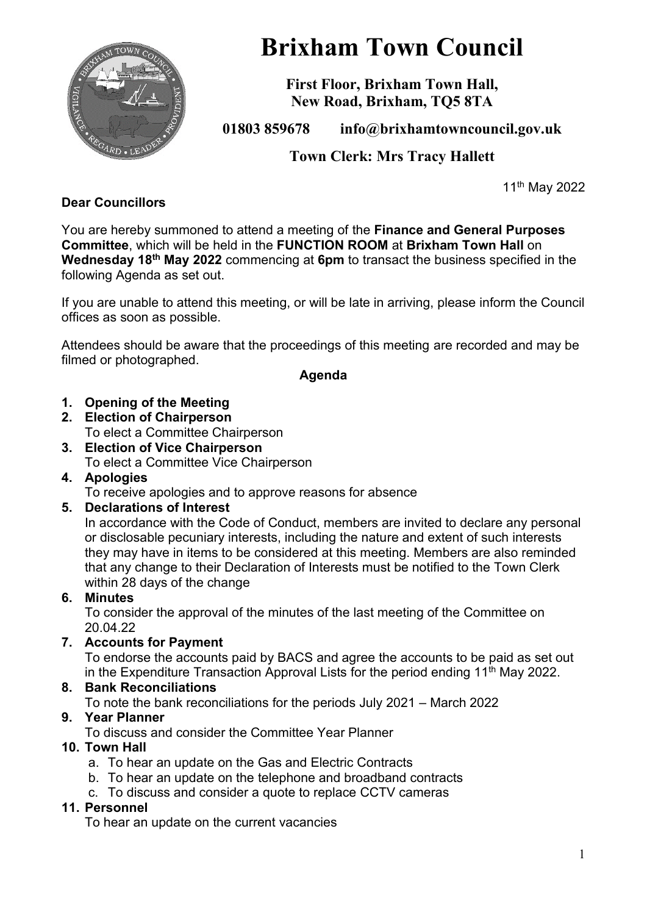

# **Brixham Town Council**

**First Floor, Brixham Town Hall, New Road, Brixham, TQ5 8TA**

**01803 859678 info@brixhamtowncouncil.gov.uk**

**Town Clerk: Mrs Tracy Hallett**

11th May 2022

#### **Dear Councillors**

You are hereby summoned to attend a meeting of the **Finance and General Purposes Committee**, which will be held in the **FUNCTION ROOM** at **Brixham Town Hall** on **Wednesday 18th May 2022** commencing at **6pm** to transact the business specified in the following Agenda as set out.

If you are unable to attend this meeting, or will be late in arriving, please inform the Council offices as soon as possible.

Attendees should be aware that the proceedings of this meeting are recorded and may be filmed or photographed.

#### **Agenda**

- **1. Opening of the Meeting**
- **2. Election of Chairperson** To elect a Committee Chairperson
- **3. Election of Vice Chairperson** To elect a Committee Vice Chairperson

#### **4. Apologies**

To receive apologies and to approve reasons for absence

#### **5. Declarations of Interest**

In accordance with the Code of Conduct, members are invited to declare any personal or disclosable pecuniary interests, including the nature and extent of such interests they may have in items to be considered at this meeting. Members are also reminded that any change to their Declaration of Interests must be notified to the Town Clerk within 28 days of the change

#### **6. Minutes**

To consider the approval of the minutes of the last meeting of the Committee on 20.04.22

#### **7. Accounts for Payment**

To endorse the accounts paid by BACS and agree the accounts to be paid as set out in the Expenditure Transaction Approval Lists for the period ending  $11<sup>th</sup>$  May 2022.

#### **8. Bank Reconciliations**

To note the bank reconciliations for the periods July 2021 – March 2022

#### **9. Year Planner**

To discuss and consider the Committee Year Planner

#### **10. Town Hall**

- a. To hear an update on the Gas and Electric Contracts
- b. To hear an update on the telephone and broadband contracts
- c. To discuss and consider a quote to replace CCTV cameras

#### **11. Personnel**

To hear an update on the current vacancies